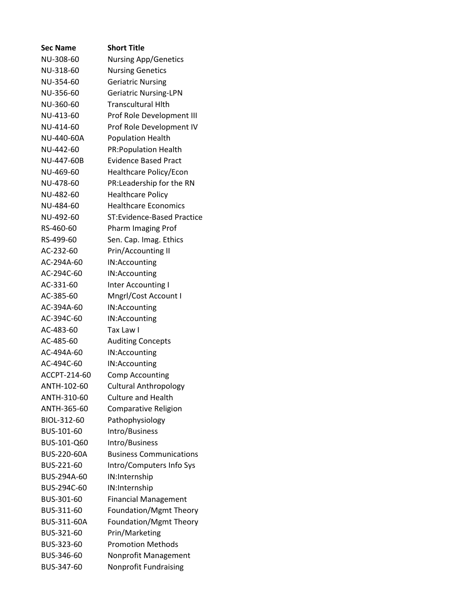| <b>Sec Name</b> | <b>Short Title</b>                |
|-----------------|-----------------------------------|
| NU-308-60       | <b>Nursing App/Genetics</b>       |
| NU-318-60       | <b>Nursing Genetics</b>           |
| NU-354-60       | <b>Geriatric Nursing</b>          |
| NU-356-60       | <b>Geriatric Nursing-LPN</b>      |
| NU-360-60       | <b>Transcultural Hith</b>         |
| NU-413-60       | Prof Role Development III         |
| NU-414-60       | Prof Role Development IV          |
| NU-440-60A      | <b>Population Health</b>          |
| NU-442-60       | <b>PR:Population Health</b>       |
| NU-447-60B      | <b>Evidence Based Pract</b>       |
| NU-469-60       | Healthcare Policy/Econ            |
| NU-478-60       | PR:Leadership for the RN          |
| NU-482-60       | <b>Healthcare Policy</b>          |
| NU-484-60       | <b>Healthcare Economics</b>       |
| NU-492-60       | <b>ST:Evidence-Based Practice</b> |
| RS-460-60       | Pharm Imaging Prof                |
| RS-499-60       | Sen. Cap. Imag. Ethics            |
| AC-232-60       | Prin/Accounting II                |
| AC-294A-60      | IN:Accounting                     |
| AC-294C-60      | IN:Accounting                     |
| AC-331-60       | Inter Accounting I                |
| AC-385-60       | Mngrl/Cost Account I              |
| AC-394A-60      | IN:Accounting                     |
| AC-394C-60      | IN:Accounting                     |
| AC-483-60       | Tax Law I                         |
| AC-485-60       | <b>Auditing Concepts</b>          |
| AC-494A-60      | IN:Accounting                     |
| AC-494C-60      | IN:Accounting                     |
| ACCPT-214-60    | <b>Comp Accounting</b>            |
| ANTH-102-60     | <b>Cultural Anthropology</b>      |
| ANTH-310-60     | <b>Culture and Health</b>         |
| ANTH-365-60     | Comparative Religion              |
| BIOL-312-60     | Pathophysiology                   |
| BUS-101-60      | Intro/Business                    |
| BUS-101-Q60     | Intro/Business                    |
| BUS-220-60A     | <b>Business Communications</b>    |
| BUS-221-60      | Intro/Computers Info Sys          |
| BUS-294A-60     | IN:Internship                     |
| BUS-294C-60     | IN:Internship                     |
| BUS-301-60      | <b>Financial Management</b>       |
| BUS-311-60      | Foundation/Mgmt Theory            |
| BUS-311-60A     | Foundation/Mgmt Theory            |
| BUS-321-60      | Prin/Marketing                    |
| BUS-323-60      | <b>Promotion Methods</b>          |
| BUS-346-60      | Nonprofit Management              |
| BUS-347-60      | Nonprofit Fundraising             |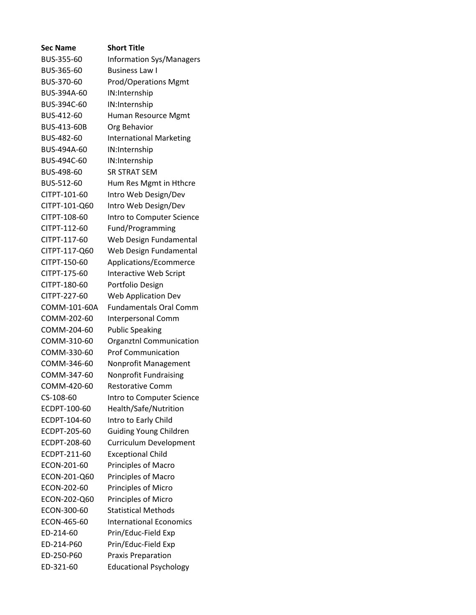| <b>Sec Name</b> | <b>Short Title</b>              |
|-----------------|---------------------------------|
| BUS-355-60      | <b>Information Sys/Managers</b> |
| BUS-365-60      | <b>Business Law I</b>           |
| BUS-370-60      | <b>Prod/Operations Mgmt</b>     |
| BUS-394A-60     | IN:Internship                   |
| BUS-394C-60     | IN:Internship                   |
| BUS-412-60      | Human Resource Mgmt             |
| BUS-413-60B     | Org Behavior                    |
| BUS-482-60      | <b>International Marketing</b>  |
| BUS-494A-60     | IN:Internship                   |
| BUS-494C-60     | IN:Internship                   |
| BUS-498-60      | <b>SR STRAT SEM</b>             |
| BUS-512-60      | Hum Res Mgmt in Hthcre          |
| CITPT-101-60    | Intro Web Design/Dev            |
| CITPT-101-Q60   | Intro Web Design/Dev            |
| CITPT-108-60    | Intro to Computer Science       |
| CITPT-112-60    | Fund/Programming                |
| CITPT-117-60    | Web Design Fundamental          |
| CITPT-117-Q60   | Web Design Fundamental          |
| CITPT-150-60    | Applications/Ecommerce          |
| CITPT-175-60    | Interactive Web Script          |
| CITPT-180-60    | Portfolio Design                |
| CITPT-227-60    | <b>Web Application Dev</b>      |
| COMM-101-60A    | <b>Fundamentals Oral Comm</b>   |
| COMM-202-60     | <b>Interpersonal Comm</b>       |
| COMM-204-60     | <b>Public Speaking</b>          |
| COMM-310-60     | Organztnl Communication         |
| COMM-330-60     | <b>Prof Communication</b>       |
| COMM-346-60     | Nonprofit Management            |
| COMM-347-60     | Nonprofit Fundraising           |
| COMM-420-60     | <b>Restorative Comm</b>         |
| CS-108-60       | Intro to Computer Science       |
| ECDPT-100-60    | Health/Safe/Nutrition           |
| ECDPT-104-60    | Intro to Early Child            |
| ECDPT-205-60    | <b>Guiding Young Children</b>   |
| ECDPT-208-60    | Curriculum Development          |
| ECDPT-211-60    | <b>Exceptional Child</b>        |
| ECON-201-60     | Principles of Macro             |
| ECON-201-Q60    | Principles of Macro             |
| ECON-202-60     | Principles of Micro             |
| ECON-202-Q60    | Principles of Micro             |
| ECON-300-60     | <b>Statistical Methods</b>      |
| ECON-465-60     | <b>International Economics</b>  |
| ED-214-60       | Prin/Educ-Field Exp             |
| ED-214-P60      | Prin/Educ-Field Exp             |
| ED-250-P60      | <b>Praxis Preparation</b>       |
| ED-321-60       | <b>Educational Psychology</b>   |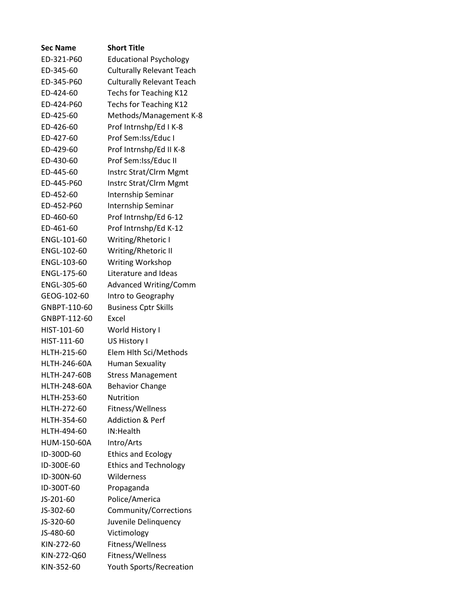| <b>Sec Name</b>     | <b>Short Title</b>               |
|---------------------|----------------------------------|
| ED-321-P60          | <b>Educational Psychology</b>    |
| ED-345-60           | <b>Culturally Relevant Teach</b> |
| ED-345-P60          | <b>Culturally Relevant Teach</b> |
| ED-424-60           | Techs for Teaching K12           |
| ED-424-P60          | Techs for Teaching K12           |
| ED-425-60           | Methods/Management K-8           |
| ED-426-60           | Prof Intrnshp/Ed I K-8           |
| ED-427-60           | Prof Sem:Iss/Educ I              |
| ED-429-60           | Prof Intrnshp/Ed II K-8          |
| ED-430-60           | Prof Sem: Iss/Educ II            |
| ED-445-60           | Instrc Strat/Clrm Mgmt           |
| ED-445-P60          | Instrc Strat/Clrm Mgmt           |
| ED-452-60           | Internship Seminar               |
| ED-452-P60          | Internship Seminar               |
| ED-460-60           | Prof Intrnshp/Ed 6-12            |
| ED-461-60           | Prof Intrnshp/Ed K-12            |
| ENGL-101-60         | Writing/Rhetoric I               |
| ENGL-102-60         | Writing/Rhetoric II              |
| ENGL-103-60         | <b>Writing Workshop</b>          |
| ENGL-175-60         | Literature and Ideas             |
| ENGL-305-60         | <b>Advanced Writing/Comm</b>     |
| GEOG-102-60         | Intro to Geography               |
| GNBPT-110-60        | <b>Business Cptr Skills</b>      |
| GNBPT-112-60        | Excel                            |
| HIST-101-60         | World History I                  |
| HIST-111-60         | US History I                     |
| HLTH-215-60         | Elem Hlth Sci/Methods            |
| <b>HLTH-246-60A</b> | <b>Human Sexuality</b>           |
| <b>HLTH-247-60B</b> | <b>Stress Management</b>         |
| <b>HLTH-248-60A</b> | <b>Behavior Change</b>           |
| HLTH-253-60         | <b>Nutrition</b>                 |
| HLTH-272-60         | Fitness/Wellness                 |
| HLTH-354-60         | <b>Addiction &amp; Perf</b>      |
| HLTH-494-60         | IN:Health                        |
| HUM-150-60A         | Intro/Arts                       |
| ID-300D-60          | <b>Ethics and Ecology</b>        |
| ID-300E-60          | <b>Ethics and Technology</b>     |
| ID-300N-60          | Wilderness                       |
| ID-300T-60          | Propaganda                       |
| JS-201-60           | Police/America                   |
| JS-302-60           | Community/Corrections            |
| JS-320-60           | Juvenile Delinquency             |
| JS-480-60           | Victimology                      |
| KIN-272-60          | Fitness/Wellness                 |
| KIN-272-Q60         | Fitness/Wellness                 |
| KIN-352-60          | <b>Youth Sports/Recreation</b>   |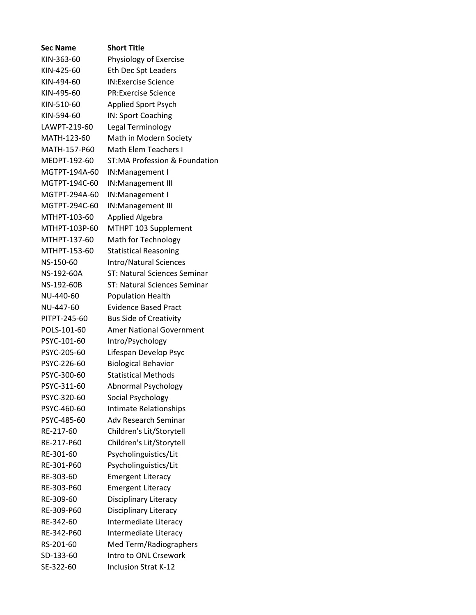| <b>Sec Name</b> | <b>Short Title</b>                  |
|-----------------|-------------------------------------|
| KIN-363-60      | Physiology of Exercise              |
| KIN-425-60      | Eth Dec Spt Leaders                 |
| KIN-494-60      | <b>IN:Exercise Science</b>          |
| KIN-495-60      | <b>PR:Exercise Science</b>          |
| KIN-510-60      | <b>Applied Sport Psych</b>          |
| KIN-594-60      | IN: Sport Coaching                  |
| LAWPT-219-60    | Legal Terminology                   |
| MATH-123-60     | Math in Modern Society              |
| MATH-157-P60    | <b>Math Elem Teachers I</b>         |
| MEDPT-192-60    | ST:MA Profession & Foundation       |
| MGTPT-194A-60   | IN:Management I                     |
| MGTPT-194C-60   | IN:Management III                   |
| MGTPT-294A-60   | IN: Management I                    |
| MGTPT-294C-60   | IN:Management III                   |
| MTHPT-103-60    | <b>Applied Algebra</b>              |
| MTHPT-103P-60   | MTHPT 103 Supplement                |
| MTHPT-137-60    | Math for Technology                 |
| MTHPT-153-60    | <b>Statistical Reasoning</b>        |
| NS-150-60       | <b>Intro/Natural Sciences</b>       |
| NS-192-60A      | <b>ST: Natural Sciences Seminar</b> |
| NS-192-60B      | ST: Natural Sciences Seminar        |
| NU-440-60       | <b>Population Health</b>            |
| NU-447-60       | <b>Evidence Based Pract</b>         |
| PITPT-245-60    | <b>Bus Side of Creativity</b>       |
| POLS-101-60     | <b>Amer National Government</b>     |
| PSYC-101-60     | Intro/Psychology                    |
| PSYC-205-60     | Lifespan Develop Psyc               |
| PSYC-226-60     | <b>Biological Behavior</b>          |
| PSYC-300-60     | <b>Statistical Methods</b>          |
| PSYC-311-60     | Abnormal Psychology                 |
| PSYC-320-60     | Social Psychology                   |
| PSYC-460-60     | <b>Intimate Relationships</b>       |
| PSYC-485-60     | <b>Adv Research Seminar</b>         |
| RE-217-60       | Children's Lit/Storytell            |
| RE-217-P60      | Children's Lit/Storytell            |
| RE-301-60       | Psycholinguistics/Lit               |
| RE-301-P60      | Psycholinguistics/Lit               |
| RE-303-60       | <b>Emergent Literacy</b>            |
| RE-303-P60      | <b>Emergent Literacy</b>            |
| RE-309-60       | Disciplinary Literacy               |
| RE-309-P60      | Disciplinary Literacy               |
| RE-342-60       | Intermediate Literacy               |
| RE-342-P60      | Intermediate Literacy               |
| RS-201-60       | Med Term/Radiographers              |
| SD-133-60       | Intro to ONL Crsework               |
| SE-322-60       | <b>Inclusion Strat K-12</b>         |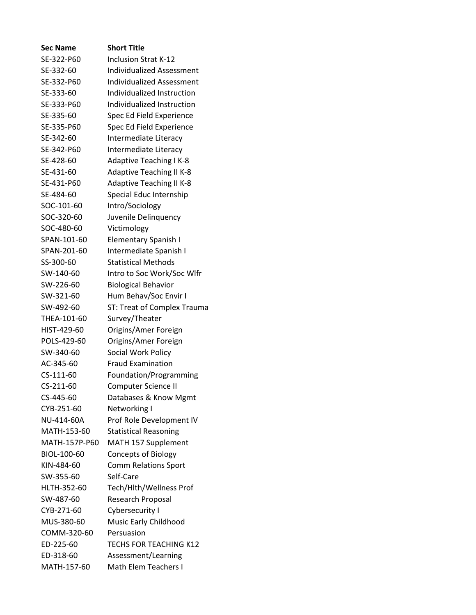| <b>Sec Name</b> | <b>Short Title</b>               |
|-----------------|----------------------------------|
| SE-322-P60      | <b>Inclusion Strat K-12</b>      |
| SE-332-60       | <b>Individualized Assessment</b> |
| SE-332-P60      | <b>Individualized Assessment</b> |
| SE-333-60       | Individualized Instruction       |
| SE-333-P60      | Individualized Instruction       |
| SE-335-60       | Spec Ed Field Experience         |
| SE-335-P60      | Spec Ed Field Experience         |
| SE-342-60       | Intermediate Literacy            |
| SE-342-P60      | Intermediate Literacy            |
| SE-428-60       | <b>Adaptive Teaching I K-8</b>   |
| SE-431-60       | <b>Adaptive Teaching II K-8</b>  |
| SE-431-P60      | <b>Adaptive Teaching II K-8</b>  |
| SE-484-60       | Special Educ Internship          |
| SOC-101-60      | Intro/Sociology                  |
| SOC-320-60      | Juvenile Delinquency             |
| SOC-480-60      | Victimology                      |
| SPAN-101-60     | <b>Elementary Spanish I</b>      |
| SPAN-201-60     | Intermediate Spanish I           |
| SS-300-60       | <b>Statistical Methods</b>       |
| SW-140-60       | Intro to Soc Work/Soc Wlfr       |
| SW-226-60       | <b>Biological Behavior</b>       |
| SW-321-60       | Hum Behav/Soc Envir I            |
| SW-492-60       | ST: Treat of Complex Trauma      |
| THEA-101-60     | Survey/Theater                   |
| HIST-429-60     | Origins/Amer Foreign             |
| POLS-429-60     | Origins/Amer Foreign             |
| SW-340-60       | Social Work Policy               |
| AC-345-60       | <b>Fraud Examination</b>         |
| CS-111-60       | Foundation/Programming           |
| CS-211-60       | Computer Science II              |
| CS-445-60       | Databases & Know Mgmt            |
| CYB-251-60      | Networking I                     |
| NU-414-60A      | Prof Role Development IV         |
| MATH-153-60     | <b>Statistical Reasoning</b>     |
| MATH-157P-P60   | MATH 157 Supplement              |
| BIOL-100-60     | <b>Concepts of Biology</b>       |
| KIN-484-60      | <b>Comm Relations Sport</b>      |
| SW-355-60       | Self-Care                        |
| HLTH-352-60     | Tech/Hlth/Wellness Prof          |
| SW-487-60       | <b>Research Proposal</b>         |
| CYB-271-60      | Cybersecurity I                  |
| MUS-380-60      | Music Early Childhood            |
| COMM-320-60     | Persuasion                       |
| ED-225-60       | <b>TECHS FOR TEACHING K12</b>    |
| ED-318-60       | Assessment/Learning              |
| MATH-157-60     | Math Elem Teachers I             |